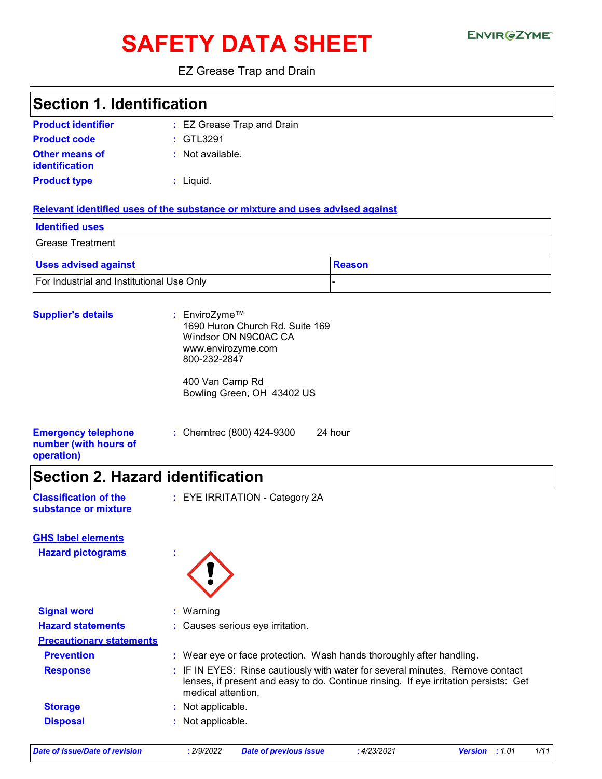# SAFETY DATA SHEET ENVIRGETMEN

#### EZ Grease Trap and Drain

### **Section 1. Identification**

| <b>Product identifier</b>        | : EZ Grease Trap and Drain |
|----------------------------------|----------------------------|
| <b>Product code</b>              | $\div$ GTL3291             |
| Other means of<br>identification | : Not available.           |
| <b>Product type</b>              | $:$ Liquid.                |

#### **Relevant identified uses of the substance or mixture and uses advised against**

| <b>Identified uses</b>                    |               |
|-------------------------------------------|---------------|
| Grease Treatment                          |               |
| <b>Uses advised against</b>               | <b>Reason</b> |
| For Industrial and Institutional Use Only |               |

| <b>Supplier's details</b>                                         | : EnviroZyme™<br>1690 Huron Church Rd. Suite 169<br>Windsor ON N9C0AC CA<br>www.envirozyme.com<br>800-232-2847 |  |
|-------------------------------------------------------------------|----------------------------------------------------------------------------------------------------------------|--|
|                                                                   | 400 Van Camp Rd<br>Bowling Green, OH 43402 US                                                                  |  |
| <b>Emergency telephone</b><br>number (with hours of<br>operation) | : Chemtrec (800) 424-9300<br>24 hour                                                                           |  |

# **Section 2. Hazard identification**

| <b>Classification of the</b> |  |
|------------------------------|--|
| substance or mixture         |  |

**Classification of the : EYE IRRITATION - Category 2A** 

| <b>GHS label elements</b>       |                                                                                                                                                                                             |
|---------------------------------|---------------------------------------------------------------------------------------------------------------------------------------------------------------------------------------------|
| <b>Hazard pictograms</b>        | ٠<br>٠                                                                                                                                                                                      |
| <b>Signal word</b>              | : Warning                                                                                                                                                                                   |
| <b>Hazard statements</b>        | : Causes serious eye irritation.                                                                                                                                                            |
| <b>Precautionary statements</b> |                                                                                                                                                                                             |
| <b>Prevention</b>               | : Wear eye or face protection. Wash hands thoroughly after handling.                                                                                                                        |
| <b>Response</b>                 | : IF IN EYES: Rinse cautiously with water for several minutes. Remove contact<br>lenses, if present and easy to do. Continue rinsing. If eye irritation persists: Get<br>medical attention. |
| <b>Storage</b>                  | : Not applicable.                                                                                                                                                                           |
| <b>Disposal</b>                 | : Not applicable.                                                                                                                                                                           |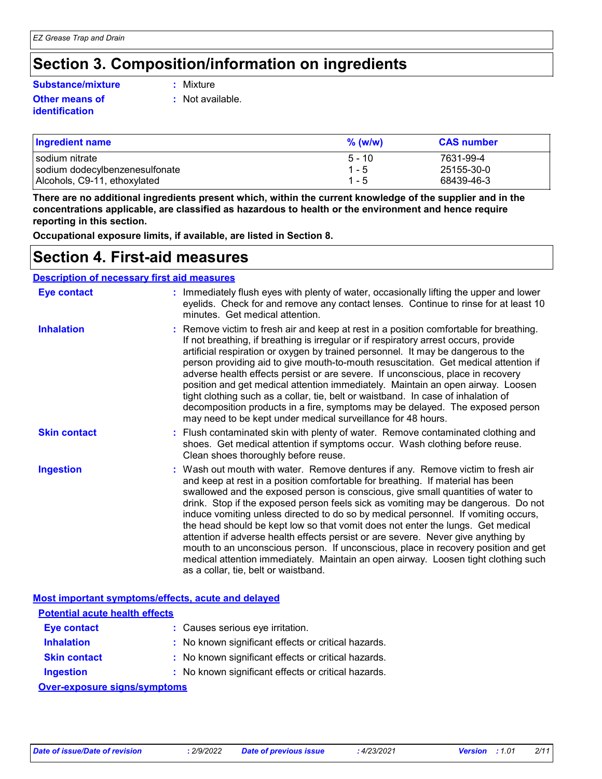# **Section 3. Composition/information on ingredients**

#### **Substance/mixture :**

#### **Other means of identification**

: Mixture

**:** Not available.

| <b>Ingredient name</b>         | $%$ (w/w) | <b>CAS number</b> |
|--------------------------------|-----------|-------------------|
| l sodium nitrate               | $5 - 10$  | 7631-99-4         |
| sodium dodecylbenzenesulfonate | $1 - 5$   | 25155-30-0        |
| Alcohols, C9-11, ethoxylated   | $1 - 5$   | 68439-46-3        |

**There are no additional ingredients present which, within the current knowledge of the supplier and in the concentrations applicable, are classified as hazardous to health or the environment and hence require reporting in this section.**

**Occupational exposure limits, if available, are listed in Section 8.**

### **Section 4. First-aid measures**

#### **Description of necessary first aid measures**

| <b>Eye contact</b>  | : Immediately flush eyes with plenty of water, occasionally lifting the upper and lower<br>eyelids. Check for and remove any contact lenses. Continue to rinse for at least 10<br>minutes. Get medical attention.                                                                                                                                                                                                                                                                                                                                                                                                                                                                                                                                                                                                            |
|---------------------|------------------------------------------------------------------------------------------------------------------------------------------------------------------------------------------------------------------------------------------------------------------------------------------------------------------------------------------------------------------------------------------------------------------------------------------------------------------------------------------------------------------------------------------------------------------------------------------------------------------------------------------------------------------------------------------------------------------------------------------------------------------------------------------------------------------------------|
| <b>Inhalation</b>   | : Remove victim to fresh air and keep at rest in a position comfortable for breathing.<br>If not breathing, if breathing is irregular or if respiratory arrest occurs, provide<br>artificial respiration or oxygen by trained personnel. It may be dangerous to the<br>person providing aid to give mouth-to-mouth resuscitation. Get medical attention if<br>adverse health effects persist or are severe. If unconscious, place in recovery<br>position and get medical attention immediately. Maintain an open airway. Loosen<br>tight clothing such as a collar, tie, belt or waistband. In case of inhalation of<br>decomposition products in a fire, symptoms may be delayed. The exposed person<br>may need to be kept under medical surveillance for 48 hours.                                                       |
| <b>Skin contact</b> | : Flush contaminated skin with plenty of water. Remove contaminated clothing and<br>shoes. Get medical attention if symptoms occur. Wash clothing before reuse.<br>Clean shoes thoroughly before reuse.                                                                                                                                                                                                                                                                                                                                                                                                                                                                                                                                                                                                                      |
| <b>Ingestion</b>    | : Wash out mouth with water. Remove dentures if any. Remove victim to fresh air<br>and keep at rest in a position comfortable for breathing. If material has been<br>swallowed and the exposed person is conscious, give small quantities of water to<br>drink. Stop if the exposed person feels sick as vomiting may be dangerous. Do not<br>induce vomiting unless directed to do so by medical personnel. If vomiting occurs,<br>the head should be kept low so that vomit does not enter the lungs. Get medical<br>attention if adverse health effects persist or are severe. Never give anything by<br>mouth to an unconscious person. If unconscious, place in recovery position and get<br>medical attention immediately. Maintain an open airway. Loosen tight clothing such<br>as a collar, tie, belt or waistband. |

|                                       | <b>Most important symptoms/effects, acute and delayed</b> |
|---------------------------------------|-----------------------------------------------------------|
| <b>Potential acute health effects</b> |                                                           |
| <b>Eye contact</b>                    | : Causes serious eye irritation.                          |
| <b>Inhalation</b>                     | : No known significant effects or critical hazards.       |
| <b>Skin contact</b>                   | : No known significant effects or critical hazards.       |
| <b>Ingestion</b>                      | : No known significant effects or critical hazards.       |
| <b>Over-exposure signs/symptoms</b>   |                                                           |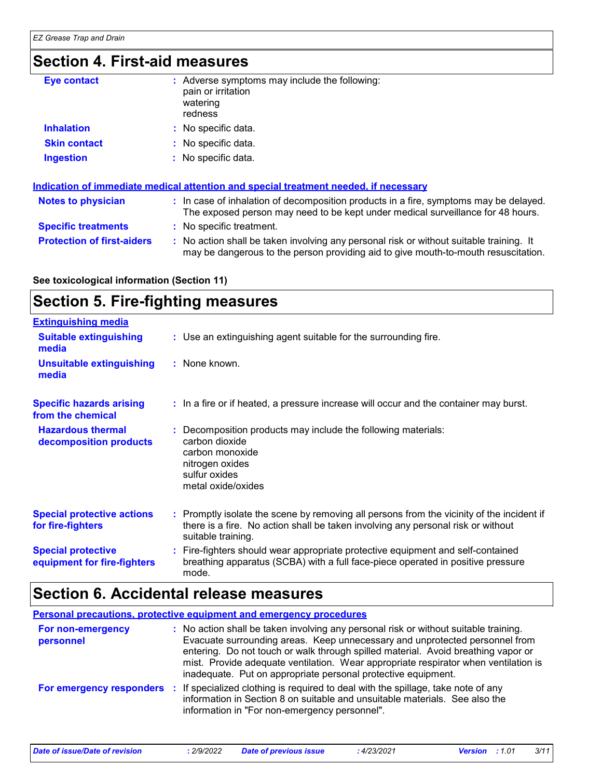### **Section 4. First-aid measures**

| <b>Eye contact</b>  | : Adverse symptoms may include the following:<br>pain or irritation<br>watering<br>redness |
|---------------------|--------------------------------------------------------------------------------------------|
| <b>Inhalation</b>   | : No specific data.                                                                        |
| <b>Skin contact</b> | : No specific data.                                                                        |
| <b>Ingestion</b>    | : No specific data.                                                                        |

|                                   | Indication of immediate medical attention and special treatment needed, if necessary                                                                                          |
|-----------------------------------|-------------------------------------------------------------------------------------------------------------------------------------------------------------------------------|
| <b>Notes to physician</b>         | : In case of inhalation of decomposition products in a fire, symptoms may be delayed.<br>The exposed person may need to be kept under medical surveillance for 48 hours.      |
| <b>Specific treatments</b>        | : No specific treatment.                                                                                                                                                      |
| <b>Protection of first-aiders</b> | : No action shall be taken involving any personal risk or without suitable training. It<br>may be dangerous to the person providing aid to give mouth-to-mouth resuscitation. |

#### **See toxicological information (Section 11)**

### **Section 5. Fire-fighting measures**

| <b>Extinguishing media</b>                               |                                                                                                                                                                                                     |
|----------------------------------------------------------|-----------------------------------------------------------------------------------------------------------------------------------------------------------------------------------------------------|
| <b>Suitable extinguishing</b><br>media                   | : Use an extinguishing agent suitable for the surrounding fire.                                                                                                                                     |
| <b>Unsuitable extinguishing</b><br>media                 | : None known.                                                                                                                                                                                       |
| <b>Specific hazards arising</b><br>from the chemical     | : In a fire or if heated, a pressure increase will occur and the container may burst.                                                                                                               |
| <b>Hazardous thermal</b><br>decomposition products       | : Decomposition products may include the following materials:<br>carbon dioxide<br>carbon monoxide<br>nitrogen oxides<br>sulfur oxides<br>metal oxide/oxides                                        |
| <b>Special protective actions</b><br>for fire-fighters   | : Promptly isolate the scene by removing all persons from the vicinity of the incident if<br>there is a fire. No action shall be taken involving any personal risk or without<br>suitable training. |
| <b>Special protective</b><br>equipment for fire-fighters | : Fire-fighters should wear appropriate protective equipment and self-contained<br>breathing apparatus (SCBA) with a full face-piece operated in positive pressure<br>mode.                         |

### **Section 6. Accidental release measures**

**Personal precautions, protective equipment and emergency procedures :** No action shall be taken involving any personal risk or without suitable training. Evacuate surrounding areas. Keep unnecessary and unprotected personnel from entering. Do not touch or walk through spilled material. Avoid breathing vapor or mist. Provide adequate ventilation. Wear appropriate respirator when ventilation is inadequate. Put on appropriate personal protective equipment. **For non-emergency personnel For emergency responders :** If specialized clothing is required to deal with the spillage, take note of any information in Section 8 on suitable and unsuitable materials. See also the information in "For non-emergency personnel".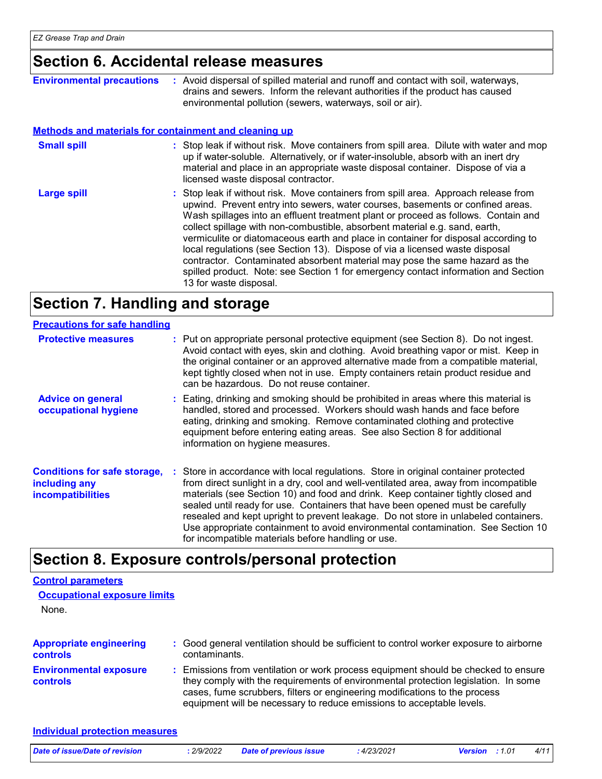### **Section 6. Accidental release measures**

| <b>Environmental precautions</b>                             | : Avoid dispersal of spilled material and runoff and contact with soil, waterways,<br>drains and sewers. Inform the relevant authorities if the product has caused<br>environmental pollution (sewers, waterways, soil or air).                                                                                                                                                                                                                                                                                                                                                                                                                                                                                 |
|--------------------------------------------------------------|-----------------------------------------------------------------------------------------------------------------------------------------------------------------------------------------------------------------------------------------------------------------------------------------------------------------------------------------------------------------------------------------------------------------------------------------------------------------------------------------------------------------------------------------------------------------------------------------------------------------------------------------------------------------------------------------------------------------|
| <b>Methods and materials for containment and cleaning up</b> |                                                                                                                                                                                                                                                                                                                                                                                                                                                                                                                                                                                                                                                                                                                 |
| <b>Small spill</b>                                           | : Stop leak if without risk. Move containers from spill area. Dilute with water and mop<br>up if water-soluble. Alternatively, or if water-insoluble, absorb with an inert dry<br>material and place in an appropriate waste disposal container. Dispose of via a<br>licensed waste disposal contractor.                                                                                                                                                                                                                                                                                                                                                                                                        |
| <b>Large spill</b>                                           | : Stop leak if without risk. Move containers from spill area. Approach release from<br>upwind. Prevent entry into sewers, water courses, basements or confined areas.<br>Wash spillages into an effluent treatment plant or proceed as follows. Contain and<br>collect spillage with non-combustible, absorbent material e.g. sand, earth,<br>vermiculite or diatomaceous earth and place in container for disposal according to<br>local regulations (see Section 13). Dispose of via a licensed waste disposal<br>contractor. Contaminated absorbent material may pose the same hazard as the<br>spilled product. Note: see Section 1 for emergency contact information and Section<br>13 for waste disposal. |

# **Section 7. Handling and storage**

| <b>Precautions for safe handling</b>                                             |                                                                                                                                                                                                                                                                                                                                                                                                                                                                                                                                                                                    |
|----------------------------------------------------------------------------------|------------------------------------------------------------------------------------------------------------------------------------------------------------------------------------------------------------------------------------------------------------------------------------------------------------------------------------------------------------------------------------------------------------------------------------------------------------------------------------------------------------------------------------------------------------------------------------|
| <b>Protective measures</b>                                                       | : Put on appropriate personal protective equipment (see Section 8). Do not ingest.<br>Avoid contact with eyes, skin and clothing. Avoid breathing vapor or mist. Keep in<br>the original container or an approved alternative made from a compatible material,<br>kept tightly closed when not in use. Empty containers retain product residue and<br>can be hazardous. Do not reuse container.                                                                                                                                                                                    |
| <b>Advice on general</b><br>occupational hygiene                                 | : Eating, drinking and smoking should be prohibited in areas where this material is<br>handled, stored and processed. Workers should wash hands and face before<br>eating, drinking and smoking. Remove contaminated clothing and protective<br>equipment before entering eating areas. See also Section 8 for additional<br>information on hygiene measures.                                                                                                                                                                                                                      |
| <b>Conditions for safe storage,</b><br>including any<br><b>incompatibilities</b> | : Store in accordance with local regulations. Store in original container protected<br>from direct sunlight in a dry, cool and well-ventilated area, away from incompatible<br>materials (see Section 10) and food and drink. Keep container tightly closed and<br>sealed until ready for use. Containers that have been opened must be carefully<br>resealed and kept upright to prevent leakage. Do not store in unlabeled containers.<br>Use appropriate containment to avoid environmental contamination. See Section 10<br>for incompatible materials before handling or use. |

# **Section 8. Exposure controls/personal protection**

| <b>Control parameters</b>                        |                                                                                                                                                                                                                                                                                                                                 |
|--------------------------------------------------|---------------------------------------------------------------------------------------------------------------------------------------------------------------------------------------------------------------------------------------------------------------------------------------------------------------------------------|
| <b>Occupational exposure limits</b>              |                                                                                                                                                                                                                                                                                                                                 |
| None.                                            |                                                                                                                                                                                                                                                                                                                                 |
| <b>Appropriate engineering</b>                   | : Good general ventilation should be sufficient to control worker exposure to airborne                                                                                                                                                                                                                                          |
| <b>controls</b>                                  | contaminants.                                                                                                                                                                                                                                                                                                                   |
| <b>Environmental exposure</b><br><b>controls</b> | : Emissions from ventilation or work process equipment should be checked to ensure<br>they comply with the requirements of environmental protection legislation. In some<br>cases, fume scrubbers, filters or engineering modifications to the process<br>equipment will be necessary to reduce emissions to acceptable levels. |

#### **Individual protection measures**

| Date of issue/Date of revision<br>2/9/2022 | <b>Date of previous issue</b> | 4/23/2021 | 4/11<br><b>Version</b> : 1.01 |
|--------------------------------------------|-------------------------------|-----------|-------------------------------|
|--------------------------------------------|-------------------------------|-----------|-------------------------------|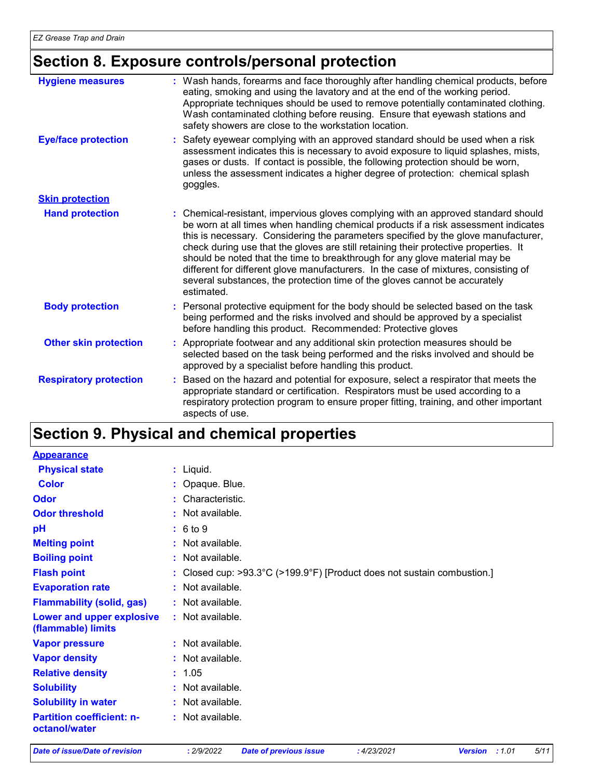# **Section 8. Exposure controls/personal protection**

| <b>Hygiene measures</b>       | : Wash hands, forearms and face thoroughly after handling chemical products, before<br>eating, smoking and using the lavatory and at the end of the working period.<br>Appropriate techniques should be used to remove potentially contaminated clothing.<br>Wash contaminated clothing before reusing. Ensure that eyewash stations and<br>safety showers are close to the workstation location.                                                                                                                                                                                                                         |
|-------------------------------|---------------------------------------------------------------------------------------------------------------------------------------------------------------------------------------------------------------------------------------------------------------------------------------------------------------------------------------------------------------------------------------------------------------------------------------------------------------------------------------------------------------------------------------------------------------------------------------------------------------------------|
| <b>Eye/face protection</b>    | Safety eyewear complying with an approved standard should be used when a risk<br>assessment indicates this is necessary to avoid exposure to liquid splashes, mists,<br>gases or dusts. If contact is possible, the following protection should be worn,<br>unless the assessment indicates a higher degree of protection: chemical splash<br>goggles.                                                                                                                                                                                                                                                                    |
| <b>Skin protection</b>        |                                                                                                                                                                                                                                                                                                                                                                                                                                                                                                                                                                                                                           |
| <b>Hand protection</b>        | : Chemical-resistant, impervious gloves complying with an approved standard should<br>be worn at all times when handling chemical products if a risk assessment indicates<br>this is necessary. Considering the parameters specified by the glove manufacturer,<br>check during use that the gloves are still retaining their protective properties. It<br>should be noted that the time to breakthrough for any glove material may be<br>different for different glove manufacturers. In the case of mixtures, consisting of<br>several substances, the protection time of the gloves cannot be accurately<br>estimated. |
| <b>Body protection</b>        | Personal protective equipment for the body should be selected based on the task<br>being performed and the risks involved and should be approved by a specialist<br>before handling this product. Recommended: Protective gloves                                                                                                                                                                                                                                                                                                                                                                                          |
| <b>Other skin protection</b>  | Appropriate footwear and any additional skin protection measures should be<br>selected based on the task being performed and the risks involved and should be<br>approved by a specialist before handling this product.                                                                                                                                                                                                                                                                                                                                                                                                   |
| <b>Respiratory protection</b> | Based on the hazard and potential for exposure, select a respirator that meets the<br>appropriate standard or certification. Respirators must be used according to a<br>respiratory protection program to ensure proper fitting, training, and other important<br>aspects of use.                                                                                                                                                                                                                                                                                                                                         |

# **Section 9. Physical and chemical properties**

| <b>Appearance</b>                                 |                                                                       |
|---------------------------------------------------|-----------------------------------------------------------------------|
| <b>Physical state</b>                             | : Liquid.                                                             |
| <b>Color</b>                                      | : Opaque. Blue.                                                       |
| Odor                                              | Characteristic.                                                       |
| <b>Odor threshold</b>                             | : Not available.                                                      |
| pH                                                | : 6 to 9                                                              |
| <b>Melting point</b>                              | Not available.                                                        |
| <b>Boiling point</b>                              | $:$ Not available.                                                    |
| <b>Flash point</b>                                | Closed cup: >93.3°C (>199.9°F) [Product does not sustain combustion.] |
| <b>Evaporation rate</b>                           | : Not available.                                                      |
| <b>Flammability (solid, gas)</b>                  | : Not available.                                                      |
| Lower and upper explosive<br>(flammable) limits   | : Not available.                                                      |
| <b>Vapor pressure</b>                             | : Not available.                                                      |
| <b>Vapor density</b>                              | : Not available.                                                      |
| <b>Relative density</b>                           | : 1.05                                                                |
| <b>Solubility</b>                                 | Not available.                                                        |
| <b>Solubility in water</b>                        | $:$ Not available.                                                    |
| <b>Partition coefficient: n-</b><br>octanol/water | : Not available.                                                      |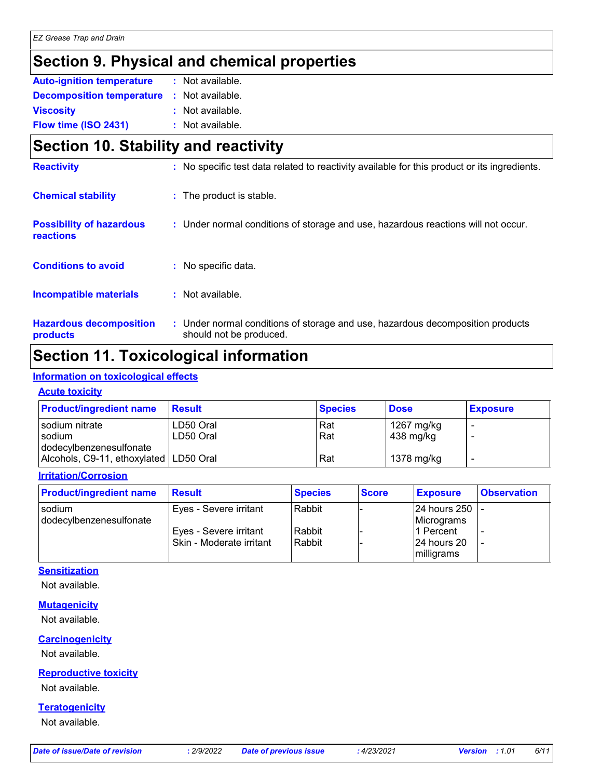## **Section 9. Physical and chemical properties**

| <b>Auto-ignition temperature</b> | : Not available. |  |
|----------------------------------|------------------|--|
| <b>Decomposition temperature</b> | : Not available. |  |
| <b>Viscosity</b>                 | : Not available. |  |
| Flow time (ISO 2431)             | : Not available. |  |

### **Section 10. Stability and reactivity**

| <b>Reactivity</b>                            | : No specific test data related to reactivity available for this product or its ingredients.              |
|----------------------------------------------|-----------------------------------------------------------------------------------------------------------|
| <b>Chemical stability</b>                    | : The product is stable.                                                                                  |
| <b>Possibility of hazardous</b><br>reactions | : Under normal conditions of storage and use, hazardous reactions will not occur.                         |
| <b>Conditions to avoid</b>                   | : No specific data.                                                                                       |
| Incompatible materials                       | : Not available.                                                                                          |
| <b>Hazardous decomposition</b><br>products   | : Under normal conditions of storage and use, hazardous decomposition products<br>should not be produced. |

### **Section 11. Toxicological information**

#### **Information on toxicological effects**

#### **Acute toxicity**

| <b>Product/ingredient name</b>           | <b>Result</b> | <b>Species</b> | <b>Dose</b> | <b>Exposure</b> |
|------------------------------------------|---------------|----------------|-------------|-----------------|
| sodium nitrate                           | LD50 Oral     | Rat            | 1267 mg/kg  |                 |
| sodium<br>dodecylbenzenesulfonate        | LD50 Oral     | Rat            | 438 mg/kg   |                 |
| Alcohols, C9-11, ethoxylated   LD50 Oral |               | Rat            | 1378 mg/kg  |                 |

#### **Irritation/Corrosion**

| <b>Product/ingredient name</b>    | <b>Result</b>                                      | <b>Species</b>   | <b>Score</b> | <b>Exposure</b>                          | <b>Observation</b> |
|-----------------------------------|----------------------------------------------------|------------------|--------------|------------------------------------------|--------------------|
| sodium<br>dodecylbenzenesulfonate | Eyes - Severe irritant                             | Rabbit           |              | 24 hours 250  -<br>Micrograms            |                    |
|                                   | Eyes - Severe irritant<br>Skin - Moderate irritant | Rabbit<br>Rabbit |              | l1 Percent<br>l24 hours 20<br>milligrams |                    |

#### **Sensitization**

Not available.

#### **Mutagenicity**

Not available.

#### **Carcinogenicity**

Not available.

#### **Reproductive toxicity**

Not available.

#### **Teratogenicity**

Not available.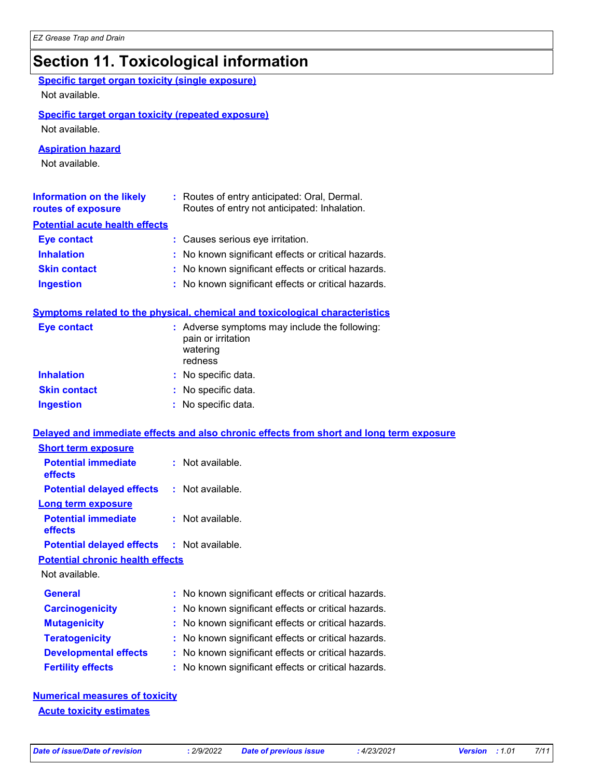#### **Section 11. Toxicological information** Not available. **Information on the likely routes of exposure Inhalation :** No known significant effects or critical hazards. **Ingestion :** No known significant effects or critical hazards. **Skin contact become the control of the Skin contact :** No known significant effects or critical hazards. **Eye contact :** Causes serious eye irritation. **General :** No known significant effects or critical hazards. **Carcinogenicity :** No known significant effects or critical hazards. **Mutagenicity :** No known significant effects or critical hazards. **Teratogenicity :** No known significant effects or critical hazards. **Developmental effects :** No known significant effects or critical hazards. **Fertility effects :** No known significant effects or critical hazards. **Symptoms related to the physical, chemical and toxicological characteristics Skin contact Ingestion Inhalation :** No specific data. No specific data. **:** No specific data. **: Eye contact :** Adverse symptoms may include the following: pain or irritation watering redness **Potential chronic health effects Delayed and immediate effects and also chronic effects from short and long term exposure Specific target organ toxicity (single exposure) Specific target organ toxicity (repeated exposure)** Not available. Not available. **Aspiration hazard** Not available. **:** Routes of entry anticipated: Oral, Dermal. Routes of entry not anticipated: Inhalation. **Potential acute health effects Potential immediate effects :** Not available. **Short term exposure Potential delayed effects :** Not available. **Potential immediate effects :** Not available. **Long term exposure Potential delayed effects :** Not available.

**Numerical measures of toxicity Acute toxicity estimates**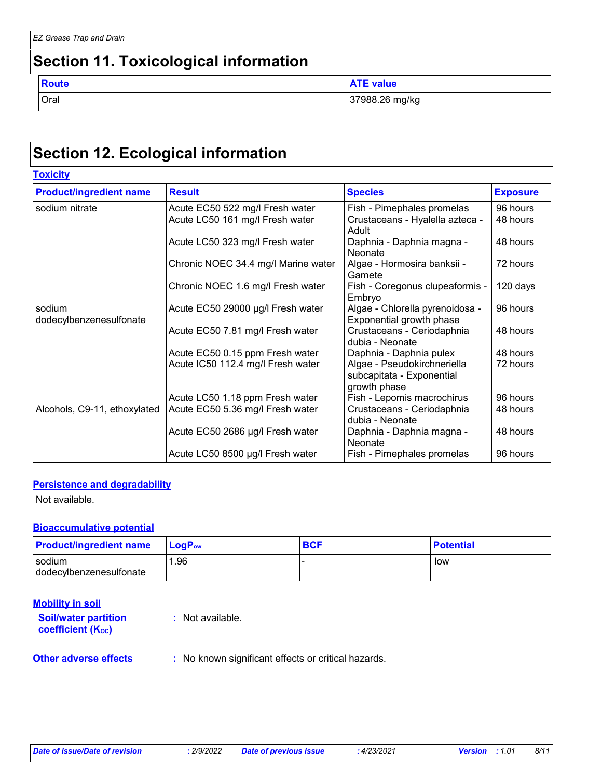### **Section 11. Toxicological information**

| ۰.<br>× | . .<br>× | × | ۰. |  |
|---------|----------|---|----|--|

Oral 37988.26 mg/kg **ATE value** 

### **Section 12. Ecological information**

| <b>Product/ingredient name</b>    | <b>Result</b>                       | <b>Species</b>                                                           | <b>Exposure</b> |
|-----------------------------------|-------------------------------------|--------------------------------------------------------------------------|-----------------|
| sodium nitrate                    | Acute EC50 522 mg/l Fresh water     | Fish - Pimephales promelas                                               | 96 hours        |
|                                   | Acute LC50 161 mg/l Fresh water     | Crustaceans - Hyalella azteca -<br>Adult                                 | 48 hours        |
|                                   | Acute LC50 323 mg/l Fresh water     | Daphnia - Daphnia magna -<br>Neonate                                     | 48 hours        |
|                                   | Chronic NOEC 34.4 mg/l Marine water | Algae - Hormosira banksii -<br>Gamete                                    | 72 hours        |
|                                   | Chronic NOEC 1.6 mg/l Fresh water   | Fish - Coregonus clupeaformis -<br>Embryo                                | 120 days        |
| sodium<br>dodecylbenzenesulfonate | Acute EC50 29000 µg/l Fresh water   | Algae - Chlorella pyrenoidosa -<br>Exponential growth phase              | 96 hours        |
|                                   | Acute EC50 7.81 mg/l Fresh water    | Crustaceans - Ceriodaphnia<br>dubia - Neonate                            | 48 hours        |
|                                   | Acute EC50 0.15 ppm Fresh water     | Daphnia - Daphnia pulex                                                  | 48 hours        |
|                                   | Acute IC50 112.4 mg/l Fresh water   | Algae - Pseudokirchneriella<br>subcapitata - Exponential<br>growth phase | 72 hours        |
|                                   | Acute LC50 1.18 ppm Fresh water     | Fish - Lepomis macrochirus                                               | 96 hours        |
| Alcohols, C9-11, ethoxylated      | Acute EC50 5.36 mg/l Fresh water    | Crustaceans - Ceriodaphnia<br>dubia - Neonate                            | 48 hours        |
|                                   | Acute EC50 2686 µg/l Fresh water    | Daphnia - Daphnia magna -<br>Neonate                                     | 48 hours        |
|                                   | Acute LC50 8500 µg/l Fresh water    | Fish - Pimephales promelas                                               | 96 hours        |

#### **Persistence and degradability**

Not available.

#### **Bioaccumulative potential**

| <b>Product/ingredient name</b>    | <b>LogP</b> <sub>ow</sub> | <b>BCF</b> | <b>Potential</b> |
|-----------------------------------|---------------------------|------------|------------------|
| sodium<br>dodecylbenzenesulfonate | . 96                      |            | low              |

#### **Mobility in soil**

**Other adverse effects** : No known significant effects or critical hazards. **Soil/water partition coefficient (KOC) :** Not available.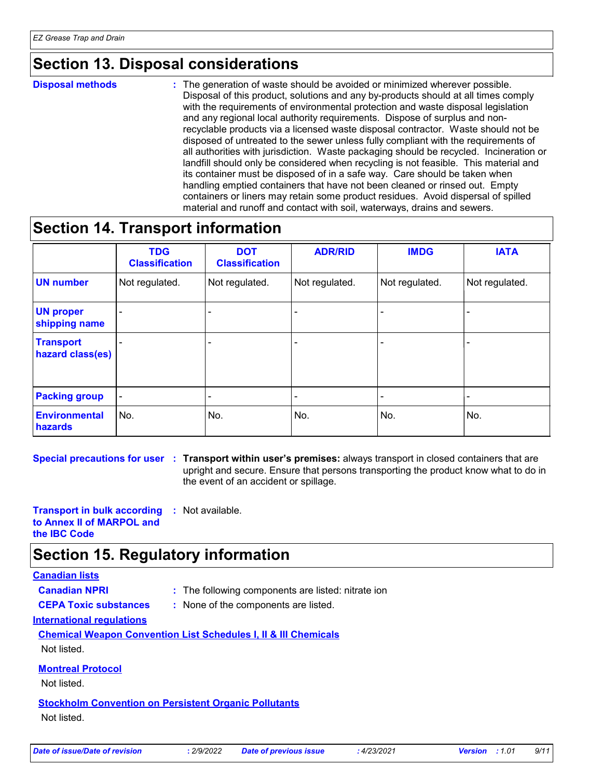### **Section 13. Disposal considerations**

**Disposal methods :**

The generation of waste should be avoided or minimized wherever possible. Disposal of this product, solutions and any by-products should at all times comply with the requirements of environmental protection and waste disposal legislation and any regional local authority requirements. Dispose of surplus and nonrecyclable products via a licensed waste disposal contractor. Waste should not be disposed of untreated to the sewer unless fully compliant with the requirements of all authorities with jurisdiction. Waste packaging should be recycled. Incineration or landfill should only be considered when recycling is not feasible. This material and its container must be disposed of in a safe way. Care should be taken when handling emptied containers that have not been cleaned or rinsed out. Empty containers or liners may retain some product residues. Avoid dispersal of spilled material and runoff and contact with soil, waterways, drains and sewers.

### **Section 14. Transport information**

|                                        | <b>TDG</b><br><b>Classification</b> | <b>DOT</b><br><b>Classification</b> | <b>ADR/RID</b> | <b>IMDG</b>    | <b>IATA</b>    |
|----------------------------------------|-------------------------------------|-------------------------------------|----------------|----------------|----------------|
| <b>UN number</b>                       | Not regulated.                      | Not regulated.                      | Not regulated. | Not regulated. | Not regulated. |
| <b>UN proper</b><br>shipping name      | -                                   |                                     |                |                |                |
| <b>Transport</b><br>hazard class(es)   |                                     |                                     |                |                |                |
| <b>Packing group</b>                   | $\blacksquare$                      |                                     |                |                |                |
| <b>Environmental</b><br><b>hazards</b> | No.                                 | No.                                 | No.            | No.            | No.            |

**Special precautions for user Transport within user's premises:** always transport in closed containers that are **:** upright and secure. Ensure that persons transporting the product know what to do in the event of an accident or spillage.

**Transport in bulk according :** Not available. **to Annex II of MARPOL and the IBC Code**

### **Section 15. Regulatory information**

#### **Canadian lists**

**Canadian NPRI :** The following components are listed: nitrate ion

**CEPA Toxic substances :** None of the components are listed.

**International regulations**

**Chemical Weapon Convention List Schedules I, II & III Chemicals** Not listed.

**Montreal Protocol**

Not listed.

**Stockholm Convention on Persistent Organic Pollutants** Not listed.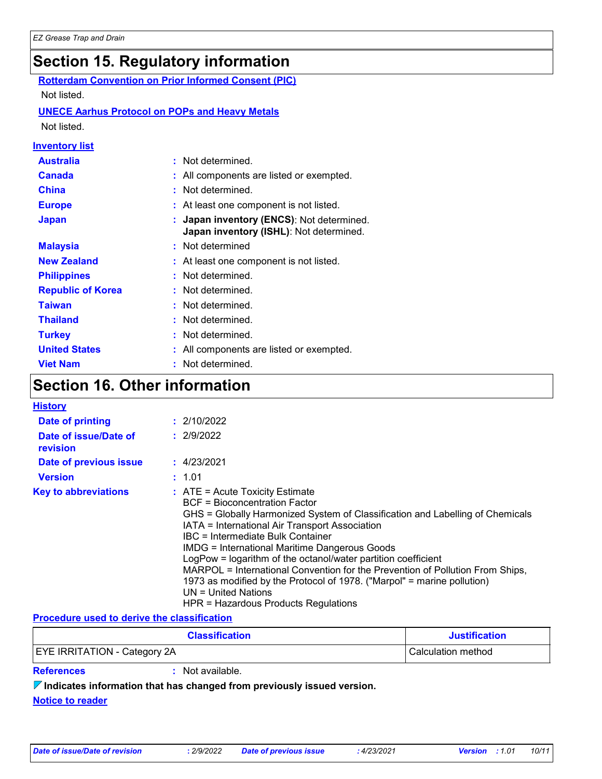# **Section 15. Regulatory information**

| Section 15. Regulatory information |                                                                                    |  |  |  |  |  |
|------------------------------------|------------------------------------------------------------------------------------|--|--|--|--|--|
|                                    | <b>Rotterdam Convention on Prior Informed Consent (PIC)</b>                        |  |  |  |  |  |
| Not listed.                        |                                                                                    |  |  |  |  |  |
|                                    | <b>UNECE Aarhus Protocol on POPs and Heavy Metals</b>                              |  |  |  |  |  |
| Not listed.                        |                                                                                    |  |  |  |  |  |
| <u>Inventory list</u>              |                                                                                    |  |  |  |  |  |
| <b>Australia</b>                   | : Not determined.                                                                  |  |  |  |  |  |
| <b>Canada</b>                      | All components are listed or exempted.                                             |  |  |  |  |  |
| <b>China</b>                       | : Not determined.                                                                  |  |  |  |  |  |
| <b>Europe</b>                      | At least one component is not listed.                                              |  |  |  |  |  |
| <b>Japan</b>                       | Japan inventory (ENCS): Not determined.<br>Japan inventory (ISHL): Not determined. |  |  |  |  |  |
| <b>Malaysia</b>                    | Not determined                                                                     |  |  |  |  |  |
| <b>New Zealand</b>                 | At least one component is not listed.                                              |  |  |  |  |  |
| <b>Philippines</b>                 | Not determined.                                                                    |  |  |  |  |  |
| <b>Republic of Korea</b>           | Not determined.                                                                    |  |  |  |  |  |
| <b>Taiwan</b>                      | Not determined.                                                                    |  |  |  |  |  |
| <b>Thailand</b>                    | Not determined.                                                                    |  |  |  |  |  |
| <b>Turkey</b>                      | Not determined.                                                                    |  |  |  |  |  |
| <b>United States</b>               | All components are listed or exempted.                                             |  |  |  |  |  |
| <b>Viet Nam</b>                    | Not determined.                                                                    |  |  |  |  |  |

# **Section 16. Other information**

| <b>History</b>                    |                                                                                                                                                                                                                                                                                                                                                                                                                                                                                                                                                                                                           |
|-----------------------------------|-----------------------------------------------------------------------------------------------------------------------------------------------------------------------------------------------------------------------------------------------------------------------------------------------------------------------------------------------------------------------------------------------------------------------------------------------------------------------------------------------------------------------------------------------------------------------------------------------------------|
| Date of printing                  | : 2/10/2022                                                                                                                                                                                                                                                                                                                                                                                                                                                                                                                                                                                               |
| Date of issue/Date of<br>revision | : 2/9/2022                                                                                                                                                                                                                                                                                                                                                                                                                                                                                                                                                                                                |
| Date of previous issue            | : 4/23/2021                                                                                                                                                                                                                                                                                                                                                                                                                                                                                                                                                                                               |
| <b>Version</b>                    | : 1.01                                                                                                                                                                                                                                                                                                                                                                                                                                                                                                                                                                                                    |
| <b>Key to abbreviations</b>       | $\therefore$ ATE = Acute Toxicity Estimate<br>BCF = Bioconcentration Factor<br>GHS = Globally Harmonized System of Classification and Labelling of Chemicals<br>IATA = International Air Transport Association<br>IBC = Intermediate Bulk Container<br><b>IMDG = International Maritime Dangerous Goods</b><br>LogPow = logarithm of the octanol/water partition coefficient<br>MARPOL = International Convention for the Prevention of Pollution From Ships,<br>1973 as modified by the Protocol of 1978. ("Marpol" = marine pollution)<br>$UN = United Nations$<br>HPR = Hazardous Products Regulations |

#### **Procedure used to derive the classification**

| <b>Classification</b>               | <b>Justification</b> |
|-------------------------------------|----------------------|
| <b>EYE IRRITATION - Category 2A</b> | Calculation method   |

**References :** Not available.

**Indicates information that has changed from previously issued version.**

**Notice to reader**